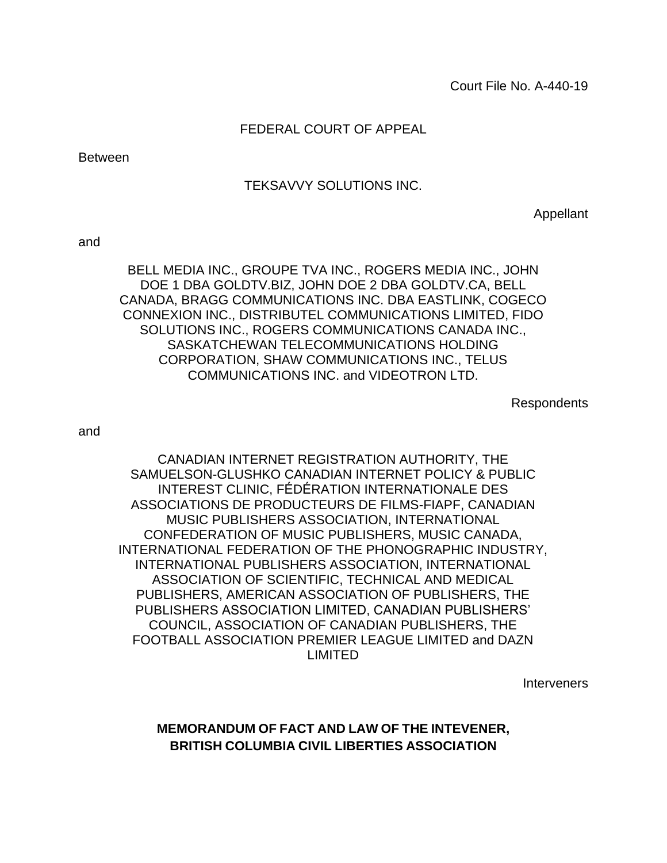#### FEDERAL COURT OF APPEAL

Between

#### TEKSAVVY SOLUTIONS INC.

Appellant

and

BELL MEDIA INC., GROUPE TVA INC., ROGERS MEDIA INC., JOHN DOE 1 DBA GOLDTV.BIZ, JOHN DOE 2 DBA GOLDTV.CA, BELL CANADA, BRAGG COMMUNICATIONS INC. DBA EASTLINK, COGECO CONNEXION INC., DISTRIBUTEL COMMUNICATIONS LIMITED, FIDO SOLUTIONS INC., ROGERS COMMUNICATIONS CANADA INC., SASKATCHEWAN TELECOMMUNICATIONS HOLDING CORPORATION, SHAW COMMUNICATIONS INC., TELUS COMMUNICATIONS INC. and VIDEOTRON LTD.

**Respondents** 

and

CANADIAN INTERNET REGISTRATION AUTHORITY, THE SAMUELSON-GLUSHKO CANADIAN INTERNET POLICY & PUBLIC INTEREST CLINIC, FÉDÉRATION INTERNATIONALE DES ASSOCIATIONS DE PRODUCTEURS DE FILMS-FIAPF, CANADIAN MUSIC PUBLISHERS ASSOCIATION, INTERNATIONAL CONFEDERATION OF MUSIC PUBLISHERS, MUSIC CANADA, INTERNATIONAL FEDERATION OF THE PHONOGRAPHIC INDUSTRY, INTERNATIONAL PUBLISHERS ASSOCIATION, INTERNATIONAL ASSOCIATION OF SCIENTIFIC, TECHNICAL AND MEDICAL PUBLISHERS, AMERICAN ASSOCIATION OF PUBLISHERS, THE PUBLISHERS ASSOCIATION LIMITED, CANADIAN PUBLISHERS' COUNCIL, ASSOCIATION OF CANADIAN PUBLISHERS, THE FOOTBALL ASSOCIATION PREMIER LEAGUE LIMITED and DAZN LIMITED

**Interveners** 

**MEMORANDUM OF FACT AND LAW OF THE INTEVENER, BRITISH COLUMBIA CIVIL LIBERTIES ASSOCIATION**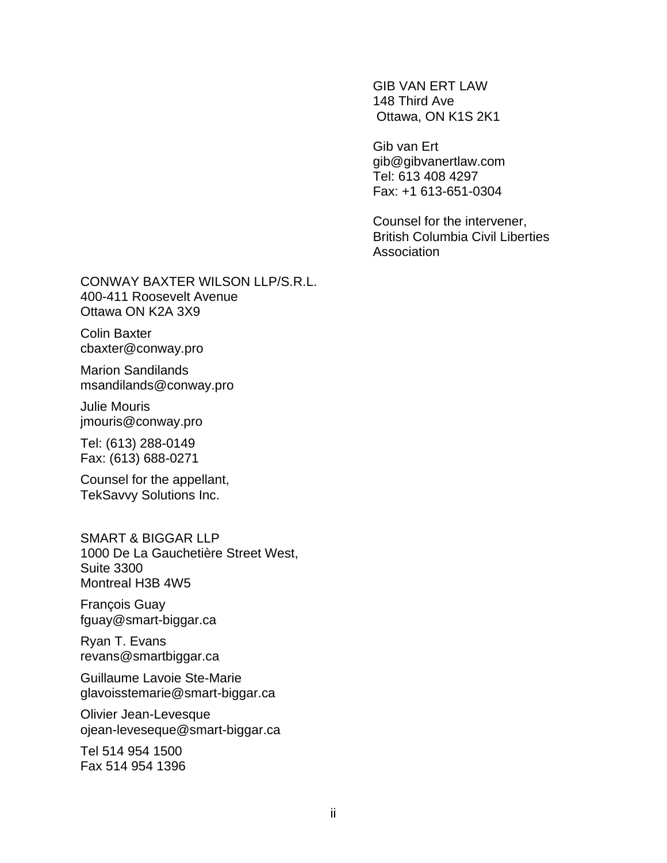GIB VAN ERT LAW 148 Third Ave Ottawa, ON K1S 2K1

Gib van Ert gib@gibvanertlaw.com Tel: 613 408 4297 Fax: +1 613-651-0304

Counsel for the intervener, British Columbia Civil Liberties **Association** 

CONWAY BAXTER WILSON LLP/S.R.L. 400-411 Roosevelt Avenue Ottawa ON K2A 3X9

Colin Baxter cbaxter@conway.pro

Marion Sandilands msandilands@conway.pro

Julie Mouris jmouris@conway.pro

Tel: (613) 288-0149 Fax: (613) 688-0271

Counsel for the appellant, TekSavvy Solutions Inc.

SMART & BIGGAR LLP 1000 De La Gauchetière Street West, Suite 3300 Montreal H3B 4W5

François Guay fguay@smart-biggar.ca

Ryan T. Evans revans@smartbiggar.ca

Guillaume Lavoie Ste-Marie glavoisstemarie@smart-biggar.ca

Olivier Jean-Levesque ojean-leveseque@smart-biggar.ca

Tel 514 954 1500 Fax 514 954 1396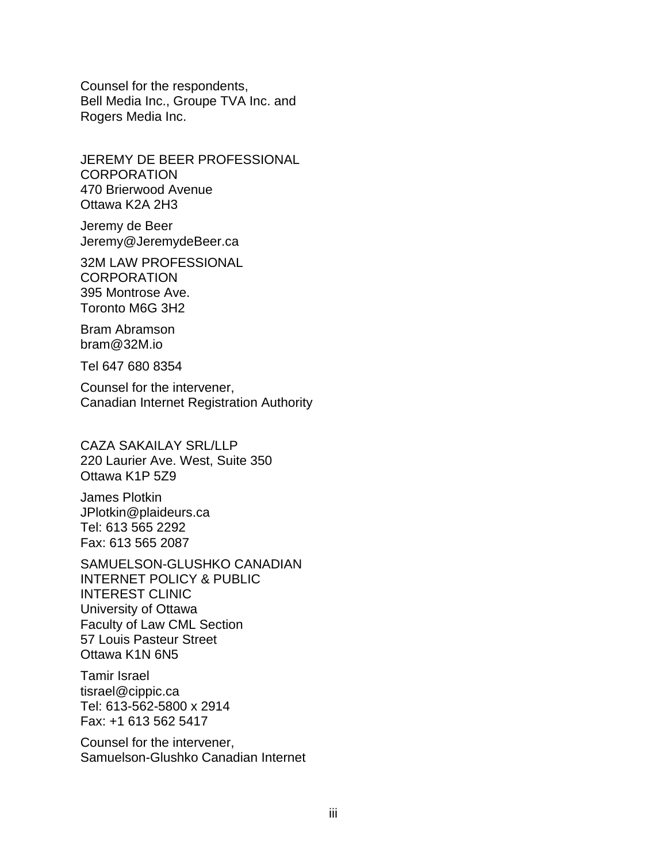Counsel for the respondents, Bell Media Inc., Groupe TVA Inc. and Rogers Media Inc.

JEREMY DE BEER PROFESSIONAL **CORPORATION** 470 Brierwood Avenue Ottawa K2A 2H3

Jeremy de Beer Jeremy@JeremydeBeer.ca

32M LAW PROFESSIONAL **CORPORATION** 395 Montrose Ave. Toronto M6G 3H2

Bram Abramson bram@32M.io

Tel 647 680 8354

Counsel for the intervener, Canadian Internet Registration Authority

CAZA SAKAILAY SRL/LLP 220 Laurier Ave. West, Suite 350 Ottawa K1P 5Z9

James Plotkin JPlotkin@plaideurs.ca Tel: 613 565 2292 Fax: 613 565 2087

SAMUELSON-GLUSHKO CANADIAN INTERNET POLICY & PUBLIC INTEREST CLINIC University of Ottawa Faculty of Law CML Section 57 Louis Pasteur Street Ottawa K1N 6N5

Tamir Israel tisrael@cippic.ca Tel: 613-562-5800 x 2914 Fax: +1 613 562 5417

Counsel for the intervener, Samuelson-Glushko Canadian Internet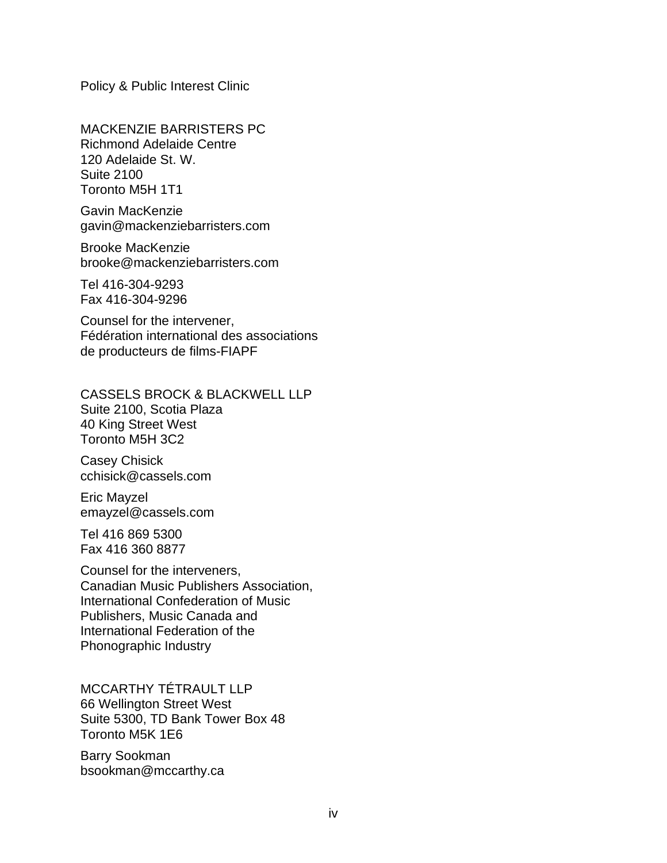Policy & Public Interest Clinic

MACKENZIE BARRISTERS PC Richmond Adelaide Centre 120 Adelaide St. W. Suite 2100 Toronto M5H 1T1

Gavin MacKenzie gavin@mackenziebarristers.com

Brooke MacKenzie brooke@mackenziebarristers.com

Tel 416-304-9293 Fax 416-304-9296

Counsel for the intervener, Fédération international des associations de producteurs de films-FIAPF

CASSELS BROCK & BLACKWELL LLP Suite 2100, Scotia Plaza 40 King Street West Toronto M5H 3C2

Casey Chisick cchisick@cassels.com

Eric Mayzel emayzel@cassels.com

Tel 416 869 5300 Fax 416 360 8877

Counsel for the interveners, Canadian Music Publishers Association, International Confederation of Music Publishers, Music Canada and International Federation of the Phonographic Industry

MCCARTHY TÉTRAULT LLP 66 Wellington Street West Suite 5300, TD Bank Tower Box 48 Toronto M5K 1E6

Barry Sookman bsookman@mccarthy.ca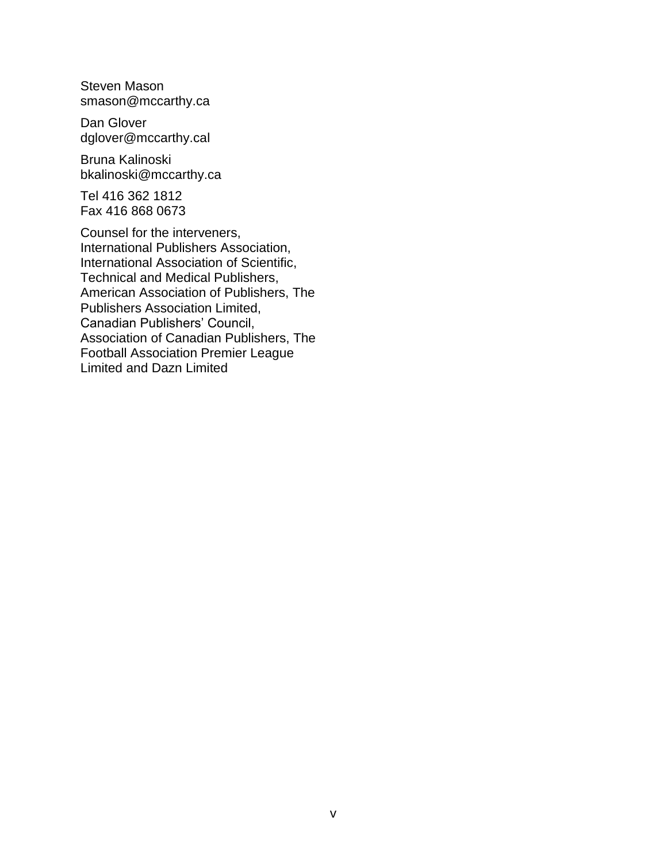Steven Mason smason@mccarthy.ca

Dan Glover dglover@mccarthy.cal

Bruna Kalinoski bkalinoski@mccarthy.ca

Tel 416 362 1812 Fax 416 868 0673

Counsel for the interveners, International Publishers Association, International Association of Scientific, Technical and Medical Publishers, American Association of Publishers, The Publishers Association Limited, Canadian Publishers' Council, Association of Canadian Publishers, The Football Association Premier League Limited and Dazn Limited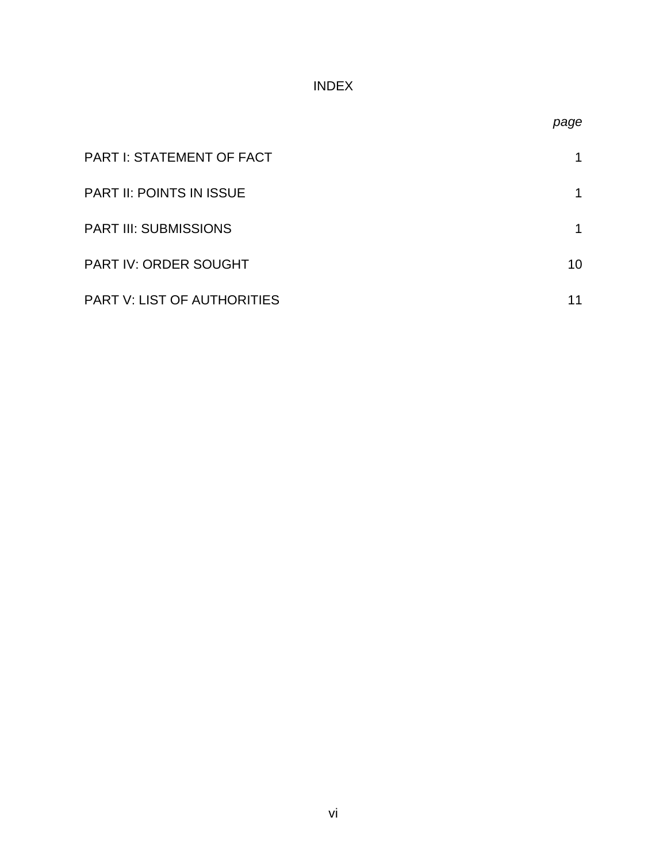# INDEX

| <b>PART I: STATEMENT OF FACT</b> |    |
|----------------------------------|----|
| <b>PART II: POINTS IN ISSUE</b>  |    |
| <b>PART III: SUBMISSIONS</b>     |    |
| PART IV: ORDER SOUGHT            | 10 |
| PART V: LIST OF AUTHORITIES      |    |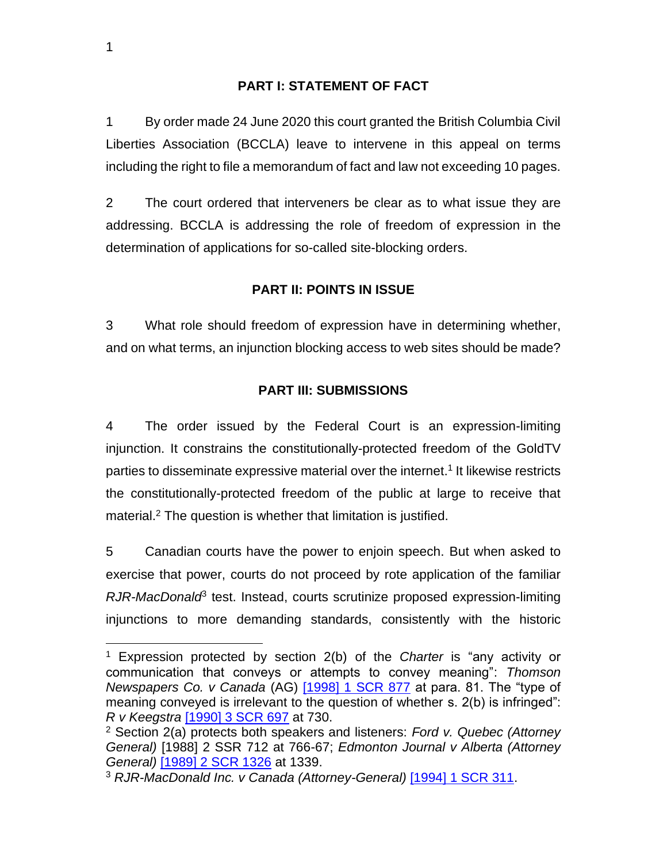#### **PART I: STATEMENT OF FACT**

1 By order made 24 June 2020 this court granted the British Columbia Civil Liberties Association (BCCLA) leave to intervene in this appeal on terms including the right to file a memorandum of fact and law not exceeding 10 pages.

2 The court ordered that interveners be clear as to what issue they are addressing. BCCLA is addressing the role of freedom of expression in the determination of applications for so-called site-blocking orders.

### **PART II: POINTS IN ISSUE**

3 What role should freedom of expression have in determining whether, and on what terms, an injunction blocking access to web sites should be made?

#### **PART III: SUBMISSIONS**

4 The order issued by the Federal Court is an expression-limiting injunction. It constrains the constitutionally-protected freedom of the GoldTV parties to disseminate expressive material over the internet.<sup>1</sup> It likewise restricts the constitutionally-protected freedom of the public at large to receive that material.<sup>2</sup> The question is whether that limitation is justified.

5 Canadian courts have the power to enjoin speech. But when asked to exercise that power, courts do not proceed by rote application of the familiar RJR-MacDonald<sup>3</sup> test. Instead, courts scrutinize proposed expression-limiting injunctions to more demanding standards, consistently with the historic

<sup>1</sup> Expression protected by section 2(b) of the *Charter* is "any activity or communication that conveys or attempts to convey meaning": *Thomson Newspapers Co. v Canada* (AG) [\[1998\] 1 SCR 877](http://canlii.ca/t/1fqrv) at para. 81. The "type of meaning conveyed is irrelevant to the question of whether s. 2(b) is infringed": *R v Keegstra* [\[1990\] 3 SCR 697](http://canlii.ca/t/1fsr1) at 730.

<sup>2</sup> Section 2(a) protects both speakers and listeners: *Ford v. Quebec (Attorney General)* [1988] 2 SSR 712 at 766-67; *Edmonton Journal v Alberta (Attorney General)* [\[1989\] 2 SCR 1326](http://canlii.ca/t/1fszp) at 1339.

<sup>3</sup> *RJR-MacDonald Inc. v Canada (Attorney-General)* [\[1994\] 1 SCR 311.](http://canlii.ca/t/1frtw)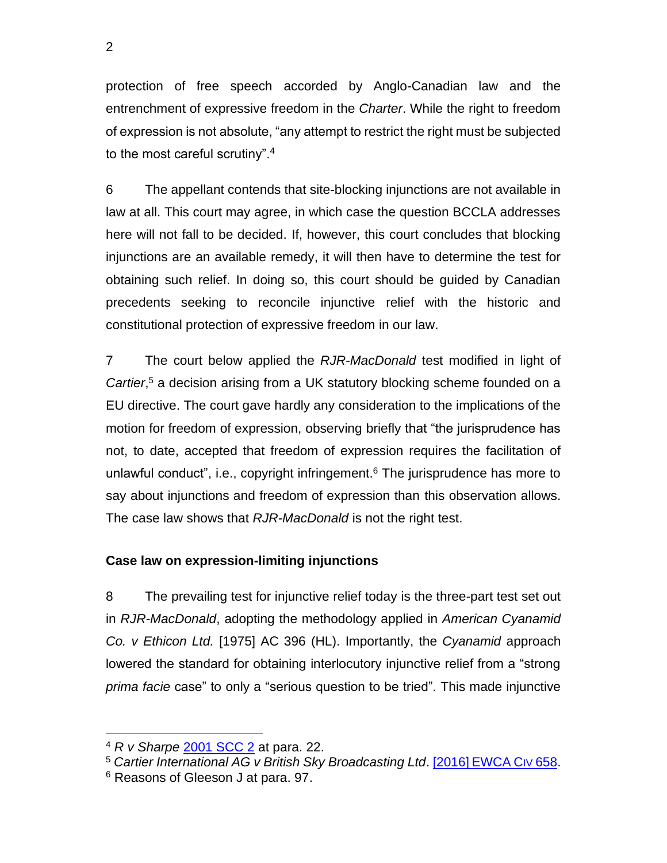protection of free speech accorded by Anglo-Canadian law and the entrenchment of expressive freedom in the *Charter*. While the right to freedom of expression is not absolute, "any attempt to restrict the right must be subjected to the most careful scrutiny".<sup>4</sup>

6 The appellant contends that site-blocking injunctions are not available in law at all. This court may agree, in which case the question BCCLA addresses here will not fall to be decided. If, however, this court concludes that blocking injunctions are an available remedy, it will then have to determine the test for obtaining such relief. In doing so, this court should be guided by Canadian precedents seeking to reconcile injunctive relief with the historic and constitutional protection of expressive freedom in our law.

7 The court below applied the *RJR-MacDonald* test modified in light of *Cartier*, <sup>5</sup> a decision arising from a UK statutory blocking scheme founded on a EU directive. The court gave hardly any consideration to the implications of the motion for freedom of expression, observing briefly that "the jurisprudence has not, to date, accepted that freedom of expression requires the facilitation of unlawful conduct", i.e., copyright infringement. <sup>6</sup> The jurisprudence has more to say about injunctions and freedom of expression than this observation allows. The case law shows that *RJR-MacDonald* is not the right test.

## **Case law on expression-limiting injunctions**

8 The prevailing test for injunctive relief today is the three-part test set out in *RJR-MacDonald*, adopting the methodology applied in *American Cyanamid Co. v Ethicon Ltd.* [1975] AC 396 (HL). Importantly, the *Cyanamid* approach lowered the standard for obtaining interlocutory injunctive relief from a "strong *prima facie* case" to only a "serious question to be tried". This made injunctive

<sup>4</sup> *R v Sharpe* [2001 SCC 2](http://canlii.ca/t/523f) at para. 22.

<sup>5</sup> *Cartier International AG v British Sky Broadcasting Ltd*. [2016] [EWCA](https://www.bailii.org/ew/cases/EWCA/Civ/2016/658.html) CIV 658.

<sup>6</sup> Reasons of Gleeson J at para. 97.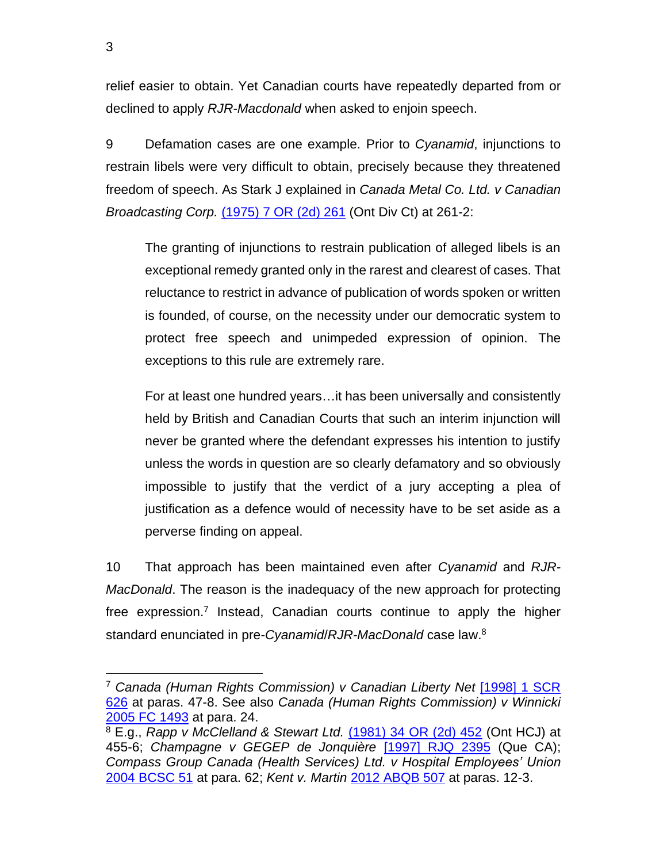relief easier to obtain. Yet Canadian courts have repeatedly departed from or declined to apply *RJR-Macdonald* when asked to enjoin speech.

9 Defamation cases are one example. Prior to *Cyanamid*, injunctions to restrain libels were very difficult to obtain, precisely because they threatened freedom of speech. As Stark J explained in *Canada Metal Co. Ltd. v Canadian Broadcasting Corp.* [\(1975\) 7 OR \(2d\) 261](http://canlii.ca/t/g15rs) (Ont Div Ct) at 261-2:

The granting of injunctions to restrain publication of alleged libels is an exceptional remedy granted only in the rarest and clearest of cases. That reluctance to restrict in advance of publication of words spoken or written is founded, of course, on the necessity under our democratic system to protect free speech and unimpeded expression of opinion. The exceptions to this rule are extremely rare.

For at least one hundred years…it has been universally and consistently held by British and Canadian Courts that such an interim injunction will never be granted where the defendant expresses his intention to justify unless the words in question are so clearly defamatory and so obviously impossible to justify that the verdict of a jury accepting a plea of justification as a defence would of necessity have to be set aside as a perverse finding on appeal.

10 That approach has been maintained even after *Cyanamid* and *RJR-MacDonald*. The reason is the inadequacy of the new approach for protecting free expression.<sup>7</sup> Instead, Canadian courts continue to apply the higher standard enunciated in pre-*Cyanamid*/*RJR-MacDonald* case law. 8

<sup>7</sup> *Canada (Human Rights Commission) v Canadian Liberty Net* [\[1998\] 1 SCR](http://canlii.ca/t/1fqt9)  [626](http://canlii.ca/t/1fqt9) at paras. 47-8. See also *Canada (Human Rights Commission) v Winnicki*  [2005 FC 1493](http://canlii.ca/t/1m0lk) at para. 24.

<sup>8</sup> E.g., *Rapp v McClelland & Stewart Ltd.* [\(1981\) 34 OR \(2d\) 452](http://canlii.ca/t/g1g71) (Ont HCJ) at 455-6; *Champagne v GEGEP de Jonquière* [1997] [RJQ 2395](http://canlii.ca/t/1ncfl) (Que CA); *Compass Group Canada (Health Services) Ltd. v Hospital Employees' Union*  [2004 BCSC 51](http://canlii.ca/t/1g74f) at para. 62; *Kent v. Martin* [2012 ABQB 507](http://canlii.ca/t/fsr21) at paras. 12-3.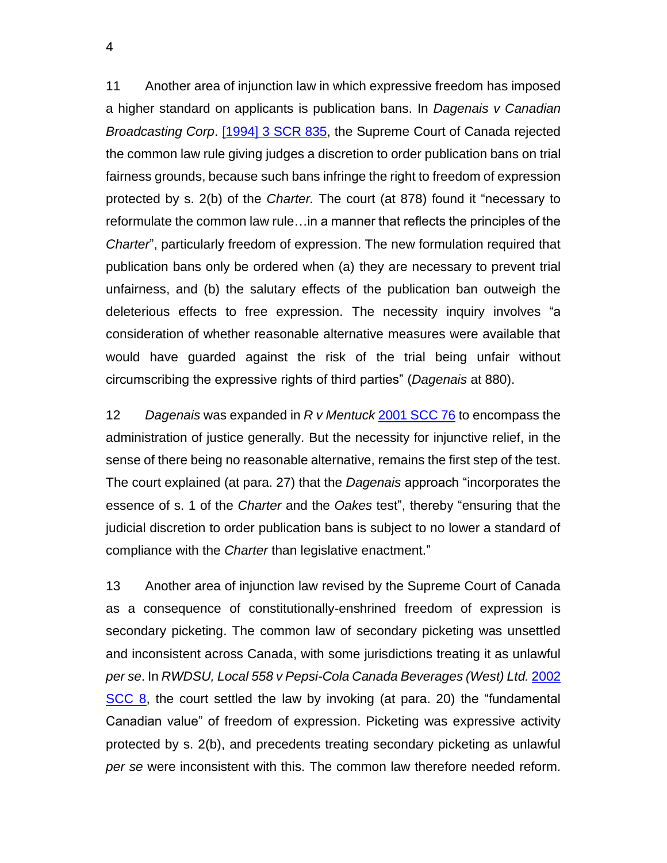11 Another area of injunction law in which expressive freedom has imposed a higher standard on applicants is publication bans. In *Dagenais v Canadian Broadcasting Corp*. [\[1994\] 3 SCR 835,](http://canlii.ca/t/1frnq) the Supreme Court of Canada rejected the common law rule giving judges a discretion to order publication bans on trial fairness grounds, because such bans infringe the right to freedom of expression protected by s. 2(b) of the *Charter.* The court (at 878) found it "necessary to reformulate the common law rule…in a manner that reflects the principles of the *Charter*", particularly freedom of expression. The new formulation required that publication bans only be ordered when (a) they are necessary to prevent trial unfairness, and (b) the salutary effects of the publication ban outweigh the deleterious effects to free expression. The necessity inquiry involves "a consideration of whether reasonable alternative measures were available that would have guarded against the risk of the trial being unfair without circumscribing the expressive rights of third parties" (*Dagenais* at 880).

12 *Dagenais* was expanded in *R v Mentuck* [2001 SCC 76](http://canlii.ca/t/51x5) to encompass the administration of justice generally. But the necessity for injunctive relief, in the sense of there being no reasonable alternative, remains the first step of the test. The court explained (at para. 27) that the *Dagenais* approach "incorporates the essence of s. 1 of the *Charter* and the *Oakes* test", thereby "ensuring that the judicial discretion to order publication bans is subject to no lower a standard of compliance with the *Charter* than legislative enactment."

13 Another area of injunction law revised by the Supreme Court of Canada as a consequence of constitutionally-enshrined freedom of expression is secondary picketing. The common law of secondary picketing was unsettled and inconsistent across Canada, with some jurisdictions treating it as unlawful *per se*. In *RWDSU, Local 558 v Pepsi-Cola Canada Beverages (West) Ltd.* [2002](http://canlii.ca/t/51tz)  [SCC 8,](http://canlii.ca/t/51tz) the court settled the law by invoking (at para. 20) the "fundamental Canadian value" of freedom of expression. Picketing was expressive activity protected by s. 2(b), and precedents treating secondary picketing as unlawful *per se* were inconsistent with this. The common law therefore needed reform.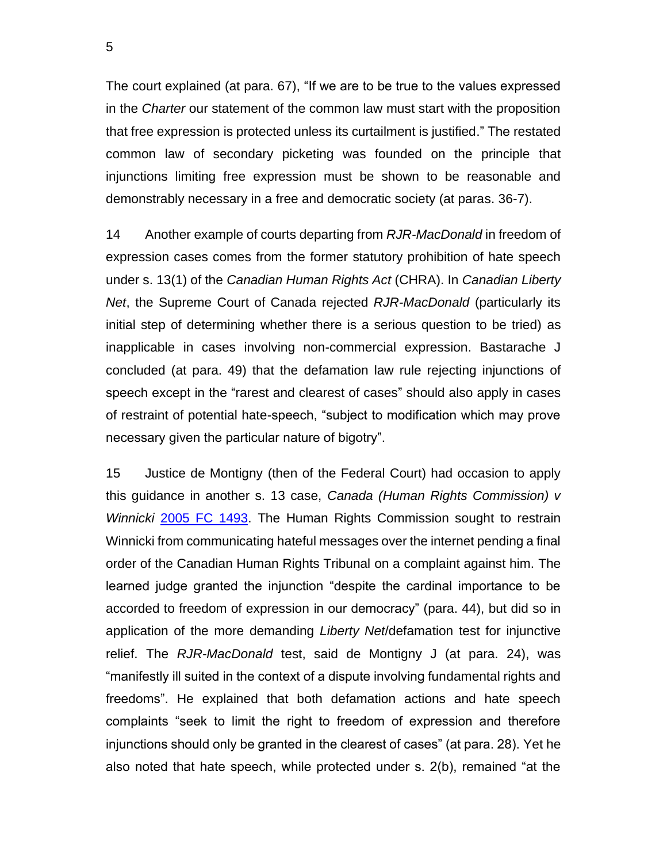The court explained (at para. 67), "If we are to be true to the values expressed in the *Charter* our statement of the common law must start with the proposition that free expression is protected unless its curtailment is justified." The restated common law of secondary picketing was founded on the principle that injunctions limiting free expression must be shown to be reasonable and demonstrably necessary in a free and democratic society (at paras. 36-7).

14 Another example of courts departing from *RJR-MacDonald* in freedom of expression cases comes from the former statutory prohibition of hate speech under s. 13(1) of the *Canadian Human Rights Act* (CHRA). In *Canadian Liberty Net*, the Supreme Court of Canada rejected *RJR-MacDonald* (particularly its initial step of determining whether there is a serious question to be tried) as inapplicable in cases involving non-commercial expression. Bastarache J concluded (at para. 49) that the defamation law rule rejecting injunctions of speech except in the "rarest and clearest of cases" should also apply in cases of restraint of potential hate-speech, "subject to modification which may prove necessary given the particular nature of bigotry".

15 Justice de Montigny (then of the Federal Court) had occasion to apply this guidance in another s. 13 case, *Canada (Human Rights Commission) v Winnicki* [2005 FC 1493.](http://canlii.ca/t/1m0lk) The Human Rights Commission sought to restrain Winnicki from communicating hateful messages over the internet pending a final order of the Canadian Human Rights Tribunal on a complaint against him. The learned judge granted the injunction "despite the cardinal importance to be accorded to freedom of expression in our democracy" (para. 44), but did so in application of the more demanding *Liberty Net*/defamation test for injunctive relief. The *RJR-MacDonald* test, said de Montigny J (at para. 24), was "manifestly ill suited in the context of a dispute involving fundamental rights and freedoms". He explained that both defamation actions and hate speech complaints "seek to limit the right to freedom of expression and therefore injunctions should only be granted in the clearest of cases" (at para. 28). Yet he also noted that hate speech, while protected under s. 2(b), remained "at the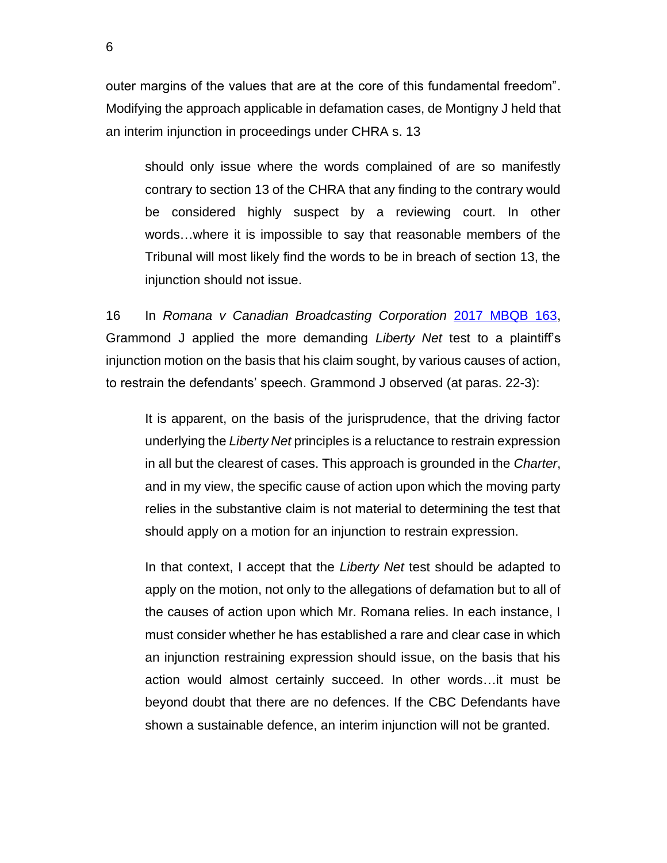outer margins of the values that are at the core of this fundamental freedom". Modifying the approach applicable in defamation cases, de Montigny J held that an interim injunction in proceedings under CHRA s. 13

should only issue where the words complained of are so manifestly contrary to section 13 of the CHRA that any finding to the contrary would be considered highly suspect by a reviewing court. In other words…where it is impossible to say that reasonable members of the Tribunal will most likely find the words to be in breach of section 13, the injunction should not issue.

16 In *Romana v Canadian Broadcasting Corporation* [2017 MBQB 163,](http://canlii.ca/t/h6htc) Grammond J applied the more demanding *Liberty Net* test to a plaintiff's injunction motion on the basis that his claim sought, by various causes of action, to restrain the defendants' speech. Grammond J observed (at paras. 22-3):

It is apparent, on the basis of the jurisprudence, that the driving factor underlying the *Liberty Net* principles is a reluctance to restrain expression in all but the clearest of cases. This approach is grounded in the *Charter*, and in my view, the specific cause of action upon which the moving party relies in the substantive claim is not material to determining the test that should apply on a motion for an injunction to restrain expression.

In that context, I accept that the *Liberty Net* test should be adapted to apply on the motion, not only to the allegations of defamation but to all of the causes of action upon which Mr. Romana relies. In each instance, I must consider whether he has established a rare and clear case in which an injunction restraining expression should issue, on the basis that his action would almost certainly succeed. In other words…it must be beyond doubt that there are no defences. If the CBC Defendants have shown a sustainable defence, an interim injunction will not be granted.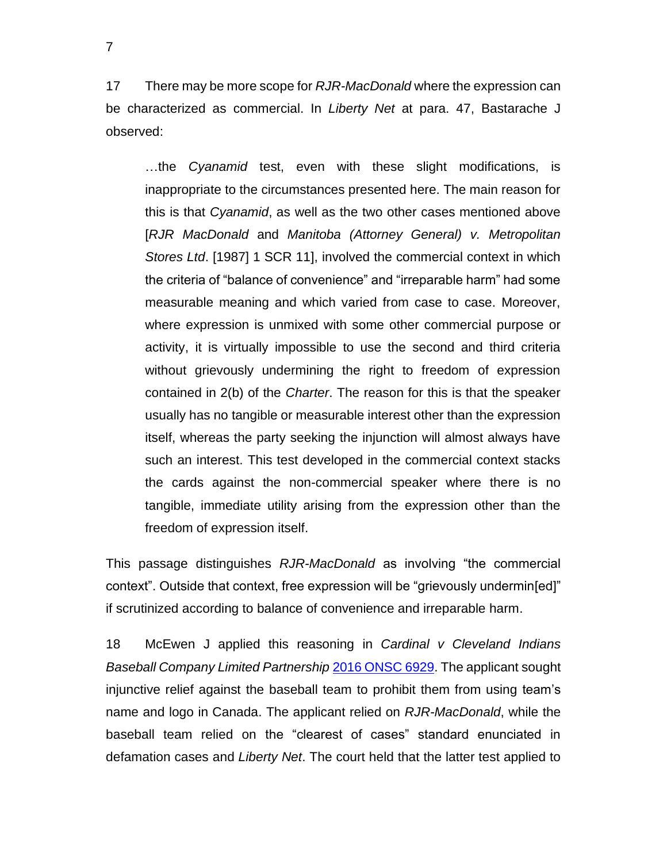17 There may be more scope for *RJR-MacDonald* where the expression can be characterized as commercial. In *Liberty Net* at para. 47, Bastarache J observed:

…the *Cyanamid* test, even with these slight modifications, is inappropriate to the circumstances presented here. The main reason for this is that *Cyanamid*, as well as the two other cases mentioned above [*RJR MacDonald* and *Manitoba (Attorney General) v. Metropolitan Stores Ltd*. [1987] 1 SCR 11], involved the commercial context in which the criteria of "balance of convenience" and "irreparable harm" had some measurable meaning and which varied from case to case. Moreover, where expression is unmixed with some other commercial purpose or activity, it is virtually impossible to use the second and third criteria without grievously undermining the right to freedom of expression contained in 2(b) of the *Charter*. The reason for this is that the speaker usually has no tangible or measurable interest other than the expression itself, whereas the party seeking the injunction will almost always have such an interest. This test developed in the commercial context stacks the cards against the non-commercial speaker where there is no tangible, immediate utility arising from the expression other than the freedom of expression itself.

This passage distinguishes *RJR-MacDonald* as involving "the commercial context". Outside that context, free expression will be "grievously undermin[ed]" if scrutinized according to balance of convenience and irreparable harm.

18 McEwen J applied this reasoning in *Cardinal v Cleveland Indians Baseball Company Limited Partnership* [2016 ONSC 6929.](http://canlii.ca/t/gvv7z) The applicant sought injunctive relief against the baseball team to prohibit them from using team's name and logo in Canada. The applicant relied on *RJR-MacDonald*, while the baseball team relied on the "clearest of cases" standard enunciated in defamation cases and *Liberty Net*. The court held that the latter test applied to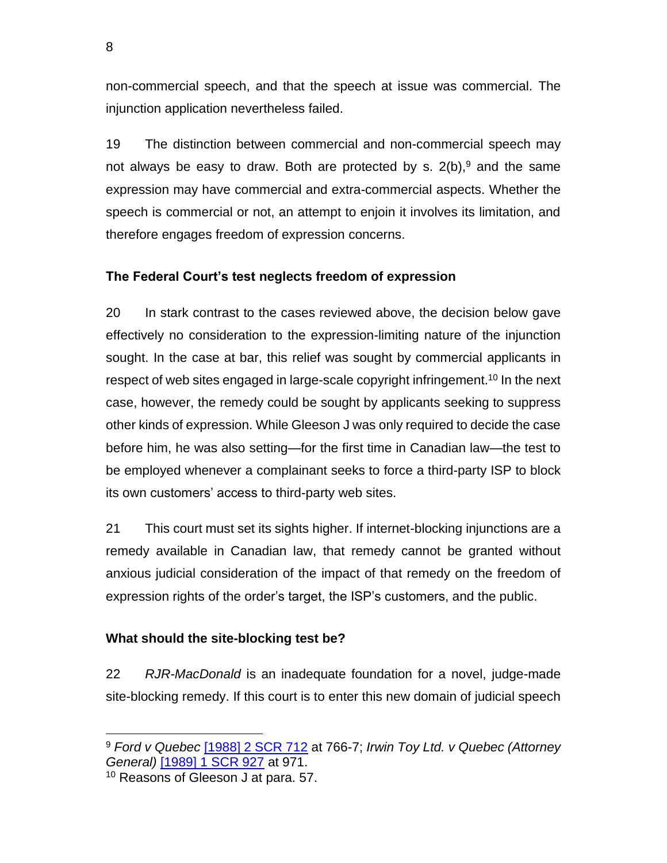non-commercial speech, and that the speech at issue was commercial. The injunction application nevertheless failed.

19 The distinction between commercial and non-commercial speech may not always be easy to draw. Both are protected by s.  $2(b)$ , and the same expression may have commercial and extra-commercial aspects. Whether the speech is commercial or not, an attempt to enjoin it involves its limitation, and therefore engages freedom of expression concerns.

## **The Federal Court's test neglects freedom of expression**

20 In stark contrast to the cases reviewed above, the decision below gave effectively no consideration to the expression-limiting nature of the injunction sought. In the case at bar, this relief was sought by commercial applicants in respect of web sites engaged in large-scale copyright infringement.<sup>10</sup> In the next case, however, the remedy could be sought by applicants seeking to suppress other kinds of expression. While Gleeson J was only required to decide the case before him, he was also setting—for the first time in Canadian law—the test to be employed whenever a complainant seeks to force a third-party ISP to block its own customers' access to third-party web sites.

21 This court must set its sights higher. If internet-blocking injunctions are a remedy available in Canadian law, that remedy cannot be granted without anxious judicial consideration of the impact of that remedy on the freedom of expression rights of the order's target, the ISP's customers, and the public.

## **What should the site-blocking test be?**

22 *RJR-MacDonald* is an inadequate foundation for a novel, judge-made site-blocking remedy. If this court is to enter this new domain of judicial speech

<sup>9</sup> *Ford v Quebec* [\[1988\] 2 SCR 712](http://canlii.ca/t/1ft9p) at 766-7; *Irwin Toy Ltd. v Quebec (Attorney General)* [\[1989\] 1 SCR 927](http://canlii.ca/t/1ft6g) at 971.

<sup>&</sup>lt;sup>10</sup> Reasons of Gleeson J at para. 57.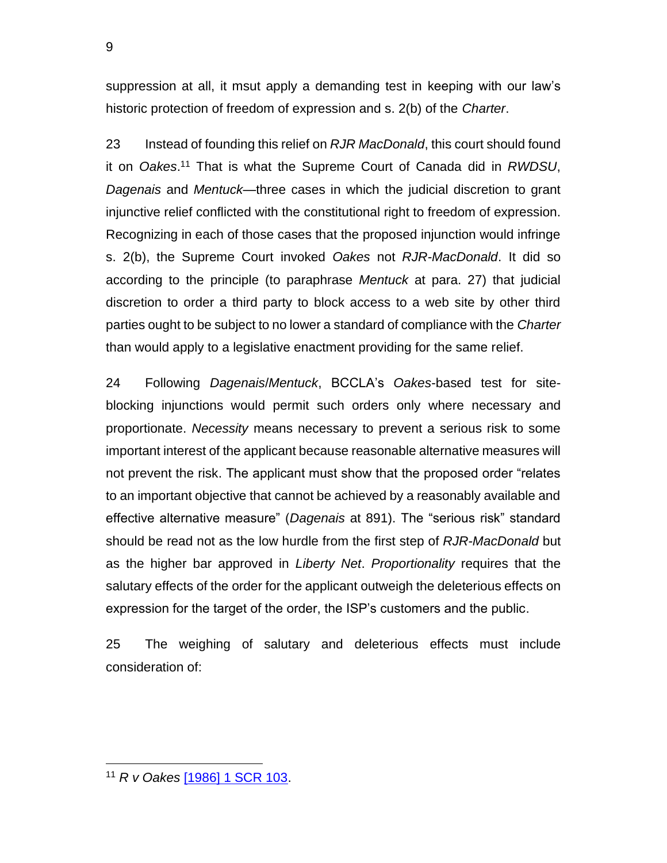suppression at all, it msut apply a demanding test in keeping with our law's historic protection of freedom of expression and s. 2(b) of the *Charter*.

23 Instead of founding this relief on *RJR MacDonald*, this court should found it on *Oakes*. <sup>11</sup> That is what the Supreme Court of Canada did in *RWDSU*, *Dagenais* and *Mentuck*—three cases in which the judicial discretion to grant injunctive relief conflicted with the constitutional right to freedom of expression. Recognizing in each of those cases that the proposed injunction would infringe s. 2(b), the Supreme Court invoked *Oakes* not *RJR-MacDonald*. It did so according to the principle (to paraphrase *Mentuck* at para. 27) that judicial discretion to order a third party to block access to a web site by other third parties ought to be subject to no lower a standard of compliance with the *Charter* than would apply to a legislative enactment providing for the same relief.

24 Following *Dagenais*/*Mentuck*, BCCLA's *Oakes*-based test for siteblocking injunctions would permit such orders only where necessary and proportionate. *Necessity* means necessary to prevent a serious risk to some important interest of the applicant because reasonable alternative measures will not prevent the risk. The applicant must show that the proposed order "relates to an important objective that cannot be achieved by a reasonably available and effective alternative measure" (*Dagenais* at 891). The "serious risk" standard should be read not as the low hurdle from the first step of *RJR-MacDonald* but as the higher bar approved in *Liberty Net*. *Proportionality* requires that the salutary effects of the order for the applicant outweigh the deleterious effects on expression for the target of the order, the ISP's customers and the public.

25 The weighing of salutary and deleterious effects must include consideration of:

<sup>9</sup>

<sup>11</sup> *R v Oakes* [\[1986\] 1 SCR 103.](http://canlii.ca/t/1ftv6)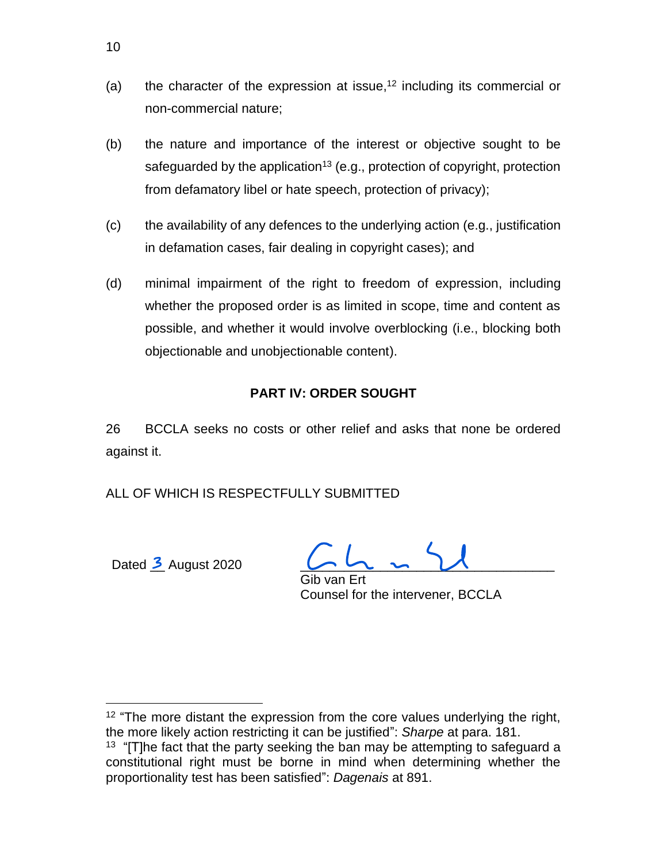- (a) the character of the expression at issue, $12$  including its commercial or non-commercial nature;
- (b) the nature and importance of the interest or objective sought to be safeguarded by the application<sup>13</sup> (e.g., protection of copyright, protection from defamatory libel or hate speech, protection of privacy);
- (c) the availability of any defences to the underlying action (e.g., justification in defamation cases, fair dealing in copyright cases); and
- (d) minimal impairment of the right to freedom of expression, including whether the proposed order is as limited in scope, time and content as possible, and whether it would involve overblocking (i.e., blocking both objectionable and unobjectionable content).

## **PART IV: ORDER SOUGHT**

26 BCCLA seeks no costs or other relief and asks that none be ordered against it.

ALL OF WHICH IS RESPECTFULLY SUBMITTED

Dated  $\frac{3}{2}$  August 2020

Gib van Ert Counsel for the intervener, BCCLA

<sup>12</sup> "The more distant the expression from the core values underlying the right, the more likely action restricting it can be justified": *Sharpe* at para. 181.

 $13$  "[T] he fact that the party seeking the ban may be attempting to safeguard a constitutional right must be borne in mind when determining whether the proportionality test has been satisfied": *Dagenais* at 891.